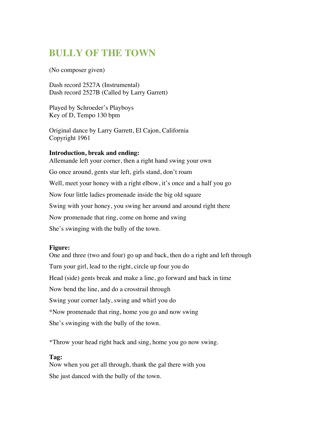## **BULLY OF THE TOWN**

(No composer given)

Dash record 2527A (Instrumental) Dash record 2527B (Called by Larry Garrett)

Played by Schroeder's Playboys Key of D, Tempo 130 bpm

Original dance by Larry Garrett, El Cajon, California Copyright 1961

## **Introduction, break and ending:**

Allemande left your corner, then a right hand swing your own Go once around, gents star left, girls stand, don't roam Well, meet your honey with a right elbow, it's once and a half you go Now four little ladies promenade inside the big old square Swing with your honey, you swing her around and around right there Now promenade that ring, come on home and swing She's swinging with the bully of the town.

## **Figure:**

One and three (two and four) go up and back, then do a right and left through Turn your girl, lead to the right, circle up four you do Head (side) gents break and make a line, go forward and back in time Now bend the line, and do a crosstrail through Swing your corner lady, swing and whirl you do \*Now promenade that ring, home you go and now swing She's swinging with the bully of the town.

\*Throw your head right back and sing, home you go now swing.

## **Tag:**

Now when you get all through, thank the gal there with you She just danced with the bully of the town.